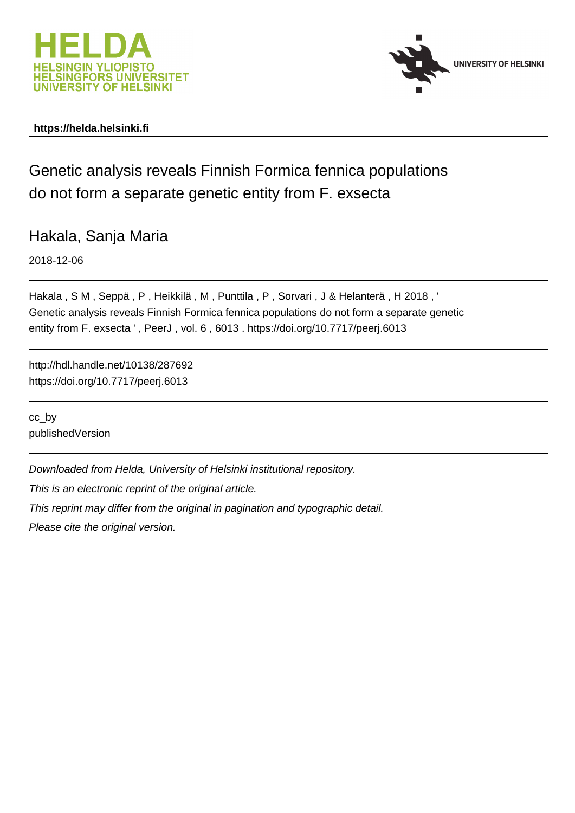



# **https://helda.helsinki.fi**

Genetic analysis reveals Finnish Formica fennica populations do not form a separate genetic entity from F. exsecta

Hakala, Sanja Maria

2018-12-06

Hakala , S M , Seppä , P , Heikkilä , M , Punttila , P , Sorvari , J & Helanterä , H 2018 , ' Genetic analysis reveals Finnish Formica fennica populations do not form a separate genetic entity from F. exsecta ' , PeerJ , vol. 6 , 6013 . https://doi.org/10.7717/peerj.6013

http://hdl.handle.net/10138/287692 https://doi.org/10.7717/peerj.6013

cc\_by publishedVersion

Downloaded from Helda, University of Helsinki institutional repository.

This is an electronic reprint of the original article.

This reprint may differ from the original in pagination and typographic detail.

Please cite the original version.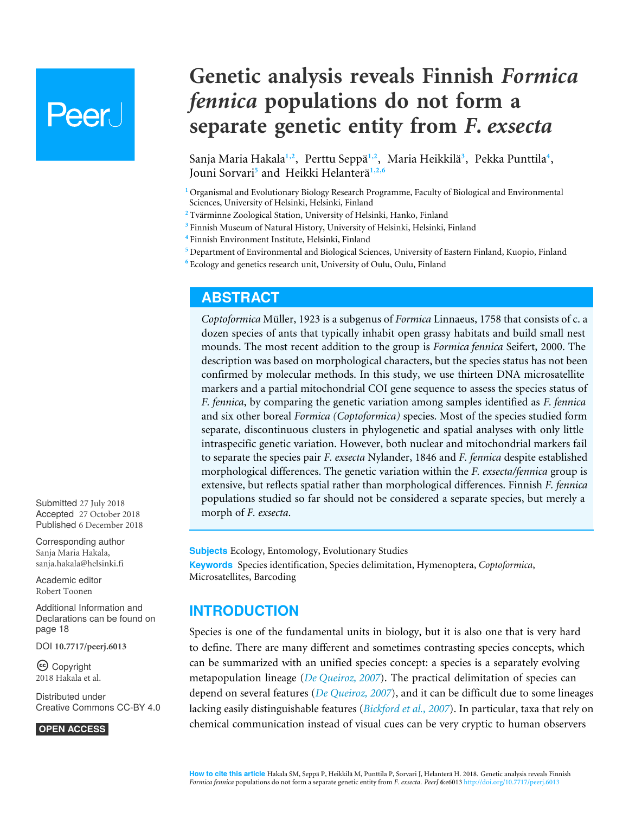# Peer l

**Genetic analysis reveals Finnish** *Formica fennica* **populations do not form a separate genetic entity from** *F. exsecta*

Sanja Maria Hakala**1**,**2** , Perttu Seppä**1**,**2** , Maria Heikkilä**3** , Pekka Punttila**4** , Jouni Sorvari**5** and Heikki Helanterä**1**,**2**,**6**

**<sup>1</sup>** Organismal and Evolutionary Biology Research Programme, Faculty of Biological and Environmental Sciences, University of Helsinki, Helsinki, Finland

- **<sup>2</sup>** Tvärminne Zoological Station, University of Helsinki, Hanko, Finland
- **<sup>3</sup>** Finnish Museum of Natural History, University of Helsinki, Helsinki, Finland
- **<sup>4</sup>** Finnish Environment Institute, Helsinki, Finland
- **<sup>5</sup>** Department of Environmental and Biological Sciences, University of Eastern Finland, Kuopio, Finland
- **<sup>6</sup>** Ecology and genetics research unit, University of Oulu, Oulu, Finland

# **ABSTRACT**

*Coptoformica* Müller, 1923 is a subgenus of *Formica* Linnaeus, 1758 that consists of c. a dozen species of ants that typically inhabit open grassy habitats and build small nest mounds. The most recent addition to the group is *Formica fennica* Seifert, 2000. The description was based on morphological characters, but the species status has not been confirmed by molecular methods. In this study, we use thirteen DNA microsatellite markers and a partial mitochondrial COI gene sequence to assess the species status of *F. fennica*, by comparing the genetic variation among samples identified as *F. fennica* and six other boreal *Formica (Coptoformica)* species. Most of the species studied form separate, discontinuous clusters in phylogenetic and spatial analyses with only little intraspecific genetic variation. However, both nuclear and mitochondrial markers fail to separate the species pair *F. exsecta* Nylander, 1846 and *F. fennica* despite established morphological differences. The genetic variation within the *F. exsecta/fennica* group is extensive, but reflects spatial rather than morphological differences. Finnish *F. fennica* populations studied so far should not be considered a separate species, but merely a morph of *F. exsecta*.

**Subjects** Ecology, Entomology, Evolutionary Studies **Keywords** Species identification, Species delimitation, Hymenoptera, *Coptoformica*, Microsatellites, Barcoding

# **INTRODUCTION**

Species is one of the fundamental units in biology, but it is also one that is very hard to define. There are many different and sometimes contrasting species concepts, which can be summarized with an unified species concept: a species is a separately evolving metapopulation lineage (*De Queiroz, 2007*). The practical delimitation of species can depend on several features (*De Queiroz, 2007*), and it can be difficult due to some lineages lacking easily distinguishable features (*Bickford et al., 2007*). In particular, taxa that rely on chemical communication instead of visual cues can be very cryptic to human observers

Submitted 27 July 2018 Accepted 27 October 2018 Published 6 December 2018

Corresponding author Sanja Maria Hakala, [sanja.hakala@helsinki.fi](mailto:sanja.hakala@helsinki.fi)

[Academic editor](https://peerj.com/academic-boards/editors/) [Robert Toonen](https://peerj.com/academic-boards/editors/)

Additional Information and Declarations can be found on page 18

DOI **[10.7717/peerj.6013](http://dx.doi.org/10.7717/peerj.6013)**

Copyright 2018 Hakala et al.

[Distributed under](http://creativecommons.org/licenses/by/4.0/) [Creative Commons CC-BY 4.0](http://creativecommons.org/licenses/by/4.0/)

#### **OPEN ACCESS**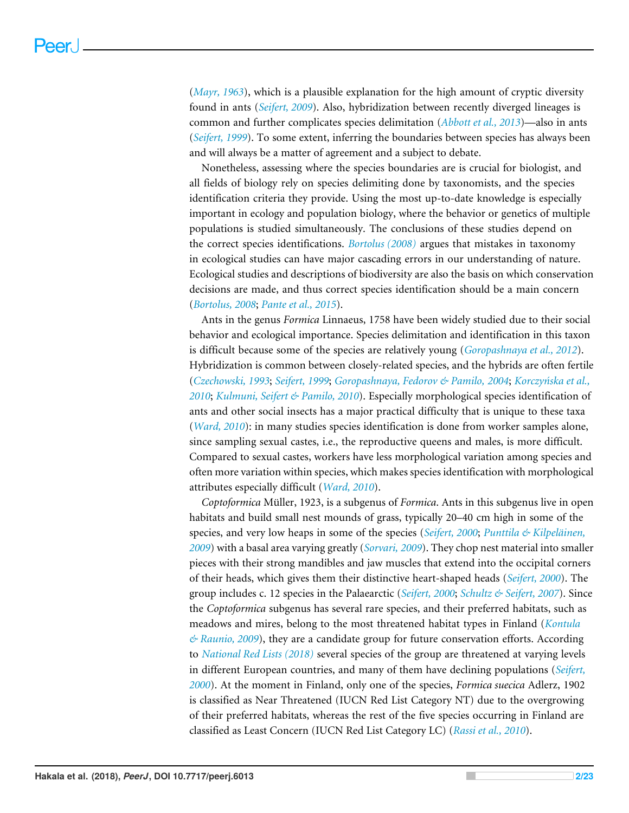(*Mayr, 1963*), which is a plausible explanation for the high amount of cryptic diversity found in ants (*Seifert, 2009*). Also, hybridization between recently diverged lineages is common and further complicates species delimitation (*Abbott et al., 2013*)—also in ants (*Seifert, 1999*). To some extent, inferring the boundaries between species has always been and will always be a matter of agreement and a subject to debate.

Nonetheless, assessing where the species boundaries are is crucial for biologist, and all fields of biology rely on species delimiting done by taxonomists, and the species identification criteria they provide. Using the most up-to-date knowledge is especially important in ecology and population biology, where the behavior or genetics of multiple populations is studied simultaneously. The conclusions of these studies depend on the correct species identifications. *Bortolus (2008)* argues that mistakes in taxonomy in ecological studies can have major cascading errors in our understanding of nature. Ecological studies and descriptions of biodiversity are also the basis on which conservation decisions are made, and thus correct species identification should be a main concern (*Bortolus, 2008*; *Pante et al., 2015*).

Ants in the genus *Formica* Linnaeus, 1758 have been widely studied due to their social behavior and ecological importance. Species delimitation and identification in this taxon is difficult because some of the species are relatively young (*Goropashnaya et al., 2012*). Hybridization is common between closely-related species, and the hybrids are often fertile (*Czechowski, 1993*; *Seifert, 1999*; *Goropashnaya, Fedorov & Pamilo, 2004*; *Korczyńska et al., 2010*; *Kulmuni, Seifert & Pamilo, 2010*). Especially morphological species identification of ants and other social insects has a major practical difficulty that is unique to these taxa (*Ward, 2010*): in many studies species identification is done from worker samples alone, since sampling sexual castes, i.e., the reproductive queens and males, is more difficult. Compared to sexual castes, workers have less morphological variation among species and often more variation within species, which makes species identification with morphological attributes especially difficult (*Ward, 2010*).

*Coptoformica* Müller, 1923, is a subgenus of *Formica*. Ants in this subgenus live in open habitats and build small nest mounds of grass, typically 20–40 cm high in some of the species, and very low heaps in some of the species (*Seifert, 2000*; *Punttila & Kilpeläinen, 2009*) with a basal area varying greatly (*Sorvari, 2009*). They chop nest material into smaller pieces with their strong mandibles and jaw muscles that extend into the occipital corners of their heads, which gives them their distinctive heart-shaped heads (*Seifert, 2000*). The group includes c. 12 species in the Palaearctic (*Seifert, 2000*; *Schultz & Seifert, 2007*). Since the *Coptoformica* subgenus has several rare species, and their preferred habitats, such as meadows and mires, belong to the most threatened habitat types in Finland (*Kontula & Raunio, 2009*), they are a candidate group for future conservation efforts. According to *National Red Lists (2018)* several species of the group are threatened at varying levels in different European countries, and many of them have declining populations (*Seifert, 2000*). At the moment in Finland, only one of the species, *Formica suecica* Adlerz, 1902 is classified as Near Threatened (IUCN Red List Category NT) due to the overgrowing of their preferred habitats, whereas the rest of the five species occurring in Finland are classified as Least Concern (IUCN Red List Category LC) (*Rassi et al., 2010*).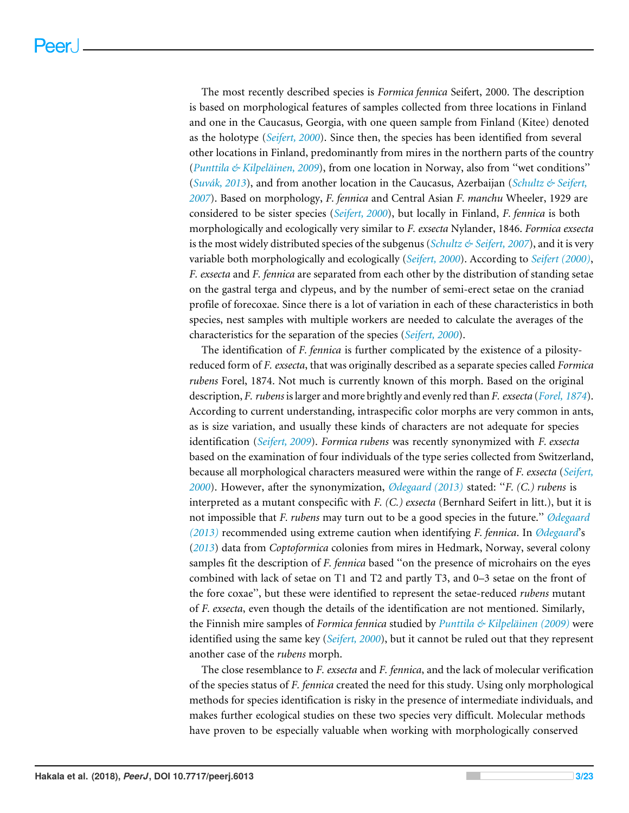The most recently described species is *Formica fennica* Seifert, 2000. The description is based on morphological features of samples collected from three locations in Finland and one in the Caucasus, Georgia, with one queen sample from Finland (Kitee) denoted as the holotype (*Seifert, 2000*). Since then, the species has been identified from several other locations in Finland, predominantly from mires in the northern parts of the country (*Punttila & Kilpeläinen, 2009*), from one location in Norway, also from ''wet conditions'' (*Suvák, 2013*), and from another location in the Caucasus, Azerbaijan (*Schultz & Seifert, 2007*). Based on morphology, *F. fennica* and Central Asian *F. manchu* Wheeler, 1929 are considered to be sister species (*Seifert, 2000*), but locally in Finland, *F. fennica* is both morphologically and ecologically very similar to *F. exsecta* Nylander, 1846. *Formica exsecta* is the most widely distributed species of the subgenus (*Schultz & Seifert, 2007*), and it is very variable both morphologically and ecologically (*Seifert, 2000*). According to *Seifert (2000)*, *F. exsecta* and *F. fennica* are separated from each other by the distribution of standing setae on the gastral terga and clypeus, and by the number of semi-erect setae on the craniad profile of forecoxae. Since there is a lot of variation in each of these characteristics in both species, nest samples with multiple workers are needed to calculate the averages of the characteristics for the separation of the species (*Seifert, 2000*).

The identification of *F. fennica* is further complicated by the existence of a pilosityreduced form of *F. exsecta*, that was originally described as a separate species called *Formica rubens* Forel, 1874. Not much is currently known of this morph. Based on the original description, *F. rubens* is larger and more brightly and evenly red than *F. exsecta* (*Forel, 1874*). According to current understanding, intraspecific color morphs are very common in ants, as is size variation, and usually these kinds of characters are not adequate for species identification (*Seifert, 2009*). *Formica rubens* was recently synonymized with *F. exsecta* based on the examination of four individuals of the type series collected from Switzerland, because all morphological characters measured were within the range of *F. exsecta* (*Seifert, 2000*). However, after the synonymization, *Ødegaard (2013)* stated: ''*F. (C.) rubens* is interpreted as a mutant conspecific with *F. (C.) exsecta* (Bernhard Seifert in litt.), but it is not impossible that *F. rubens* may turn out to be a good species in the future.'' *Ødegaard (2013)* recommended using extreme caution when identifying *F. fennica*. In *Ødegaard*'s (*2013*) data from *Coptoformica* colonies from mires in Hedmark, Norway, several colony samples fit the description of *F. fennica* based ''on the presence of microhairs on the eyes combined with lack of setae on T1 and T2 and partly T3, and 0–3 setae on the front of the fore coxae'', but these were identified to represent the setae-reduced *rubens* mutant of *F. exsecta*, even though the details of the identification are not mentioned. Similarly, the Finnish mire samples of *Formica fennica* studied by *Punttila & Kilpeläinen (2009)* were identified using the same key (*Seifert, 2000*), but it cannot be ruled out that they represent another case of the *rubens* morph.

The close resemblance to *F. exsecta* and *F. fennica*, and the lack of molecular verification of the species status of *F. fennica* created the need for this study. Using only morphological methods for species identification is risky in the presence of intermediate individuals, and makes further ecological studies on these two species very difficult. Molecular methods have proven to be especially valuable when working with morphologically conserved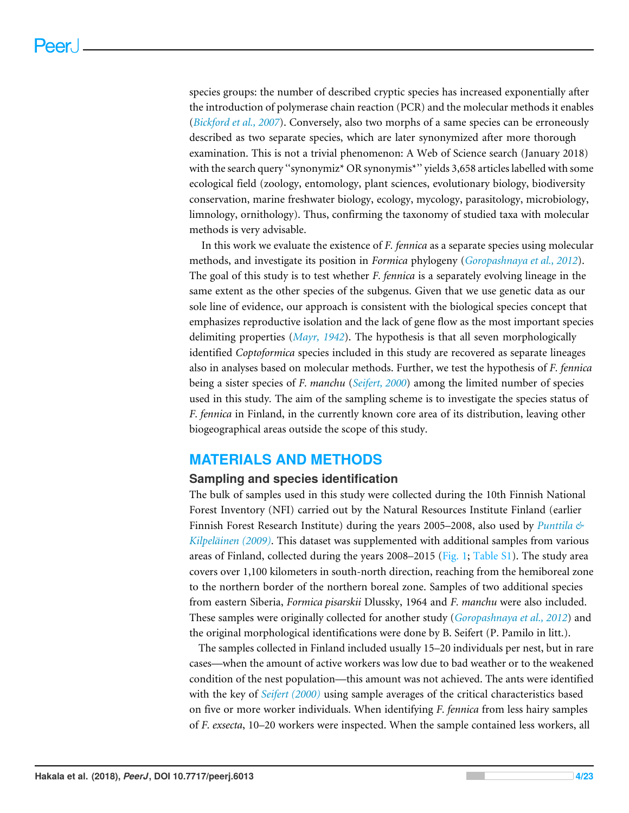species groups: the number of described cryptic species has increased exponentially after the introduction of polymerase chain reaction (PCR) and the molecular methods it enables (*Bickford et al., 2007*). Conversely, also two morphs of a same species can be erroneously described as two separate species, which are later synonymized after more thorough examination. This is not a trivial phenomenon: A Web of Science search (January 2018) with the search query "synonymiz\* OR synonymis\*" yields 3,658 articles labelled with some ecological field (zoology, entomology, plant sciences, evolutionary biology, biodiversity conservation, marine freshwater biology, ecology, mycology, parasitology, microbiology, limnology, ornithology). Thus, confirming the taxonomy of studied taxa with molecular methods is very advisable.

In this work we evaluate the existence of *F. fennica* as a separate species using molecular methods, and investigate its position in *Formica* phylogeny (*Goropashnaya et al., 2012*). The goal of this study is to test whether *F. fennica* is a separately evolving lineage in the same extent as the other species of the subgenus. Given that we use genetic data as our sole line of evidence, our approach is consistent with the biological species concept that emphasizes reproductive isolation and the lack of gene flow as the most important species delimiting properties (*Mayr, 1942*). The hypothesis is that all seven morphologically identified *Coptoformica* species included in this study are recovered as separate lineages also in analyses based on molecular methods. Further, we test the hypothesis of *F. fennica* being a sister species of *F. manchu* (*Seifert, 2000*) among the limited number of species used in this study*.* The aim of the sampling scheme is to investigate the species status of *F. fennica* in Finland, in the currently known core area of its distribution, leaving other biogeographical areas outside the scope of this study.

# **MATERIALS AND METHODS**

#### **Sampling and species identification**

The bulk of samples used in this study were collected during the 10th Finnish National Forest Inventory (NFI) carried out by the Natural Resources Institute Finland (earlier Finnish Forest Research Institute) during the years 2005–2008, also used by *Punttila & Kilpeläinen (2009)*. This dataset was supplemented with additional samples from various areas of Finland, collected during the years 2008–2015 (Fig. 1; [Table S1\)](http://dx.doi.org/10.7717/peerj.6013#supp-3). The study area covers over 1,100 kilometers in south-north direction, reaching from the hemiboreal zone to the northern border of the northern boreal zone. Samples of two additional species from eastern Siberia, *Formica pisarskii* Dlussky, 1964 and *F. manchu* were also included. These samples were originally collected for another study (*Goropashnaya et al., 2012*) and the original morphological identifications were done by B. Seifert (P. Pamilo in litt.).

The samples collected in Finland included usually 15–20 individuals per nest, but in rare cases—when the amount of active workers was low due to bad weather or to the weakened condition of the nest population—this amount was not achieved. The ants were identified with the key of *Seifert (2000)* using sample averages of the critical characteristics based on five or more worker individuals. When identifying *F. fennica* from less hairy samples of *F. exsecta*, 10–20 workers were inspected. When the sample contained less workers, all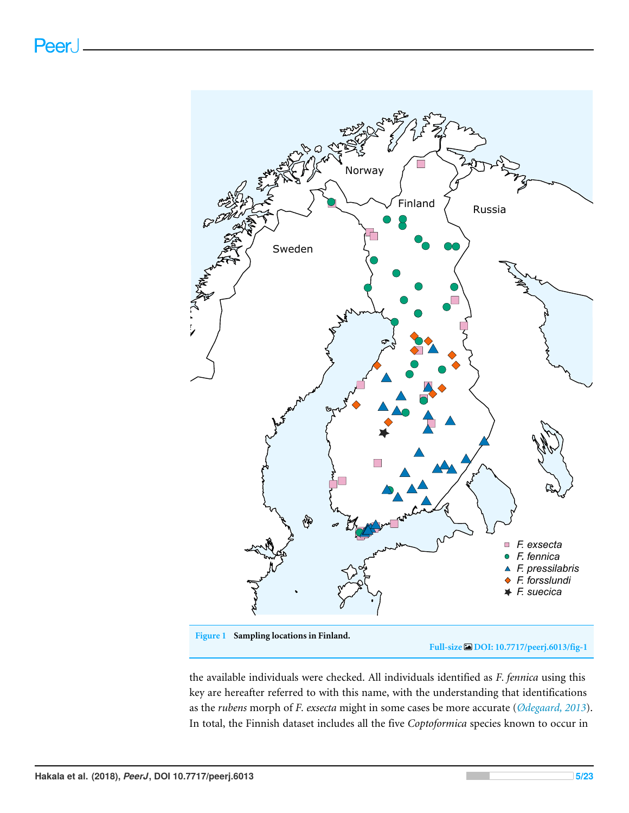

**Full-size [DOI: 10.7717/peerj.6013/fig-1](https://doi.org/10.7717/peerj.6013/fig-1)**

the available individuals were checked. All individuals identified as *F. fennica* using this key are hereafter referred to with this name, with the understanding that identifications as the *rubens* morph of *F. exsecta* might in some cases be more accurate (*Ødegaard, 2013*). In total, the Finnish dataset includes all the five *Coptoformica* species known to occur in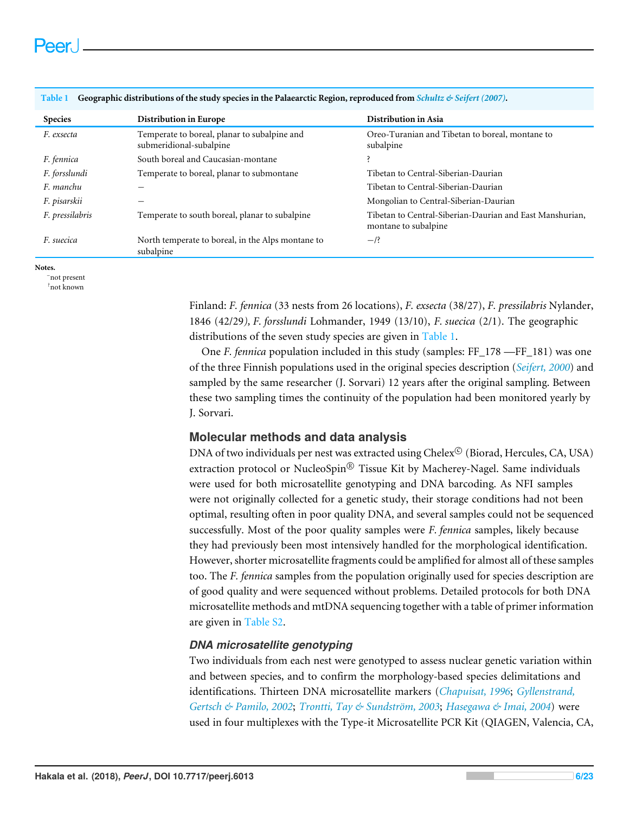| <b>Species</b>  | Distribution in Europe                                                  | Distribution in Asia                                                             |
|-----------------|-------------------------------------------------------------------------|----------------------------------------------------------------------------------|
| F. exsecta      | Temperate to boreal, planar to subalpine and<br>submeridional-subalpine | Oreo-Turanian and Tibetan to boreal, montane to<br>subalpine                     |
| F. fennica      | South boreal and Caucasian-montane                                      | <sup>2</sup>                                                                     |
| F. forsslundi   | Temperate to boreal, planar to submontane                               | Tibetan to Central-Siberian-Daurian                                              |
| F. manchu       |                                                                         | Tibetan to Central-Siberian-Daurian                                              |
| F. pisarskii    |                                                                         | Mongolian to Central-Siberian-Daurian                                            |
| F. pressilabris | Temperate to south boreal, planar to subalpine                          | Tibetan to Central-Siberian-Daurian and East Manshurian,<br>montane to subalpine |
| F. suecica      | North temperate to boreal, in the Alps montane to<br>subalpine          | $-$ /?                                                                           |

**Table 1 Geographic distributions of the study species in the Palaearctic Region, reproduced from** *Schultz & Seifert (2007)***.**

**Notes.**

–not present

?not known

Finland: *F. fennica* (33 nests from 26 locations), *F. exsecta* (38/27), *F. pressilabris* Nylander, 1846 (42/29*), F. forsslundi* Lohmander, 1949 (13/10), *F. suecica* (2/1). The geographic distributions of the seven study species are given in Table 1.

One *F. fennica* population included in this study (samples: FF\_178 —FF\_181) was one of the three Finnish populations used in the original species description (*Seifert, 2000*) and sampled by the same researcher (J. Sorvari) 12 years after the original sampling. Between these two sampling times the continuity of the population had been monitored yearly by J. Sorvari.

# **Molecular methods and data analysis**

DNA of two individuals per nest was extracted using  $\mathrm{Chelex}^{\mathfrak{S}}$  (Biorad, Hercules, CA, USA) extraction protocol or NucleoSpin® Tissue Kit by Macherey-Nagel. Same individuals were used for both microsatellite genotyping and DNA barcoding. As NFI samples were not originally collected for a genetic study, their storage conditions had not been optimal, resulting often in poor quality DNA, and several samples could not be sequenced successfully. Most of the poor quality samples were *F. fennica* samples, likely because they had previously been most intensively handled for the morphological identification. However, shorter microsatellite fragments could be amplified for almost all of these samples too. The *F. fennica* samples from the population originally used for species description are of good quality and were sequenced without problems. Detailed protocols for both DNA microsatellite methods and mtDNA sequencing together with a table of primer information are given in [Table S2.](http://dx.doi.org/10.7717/peerj.6013#supp-4)

# *DNA microsatellite genotyping*

Two individuals from each nest were genotyped to assess nuclear genetic variation within and between species, and to confirm the morphology-based species delimitations and identifications. Thirteen DNA microsatellite markers (*Chapuisat, 1996*; *Gyllenstrand, Gertsch & Pamilo, 2002*; *Trontti, Tay & Sundström, 2003*; *Hasegawa & Imai, 2004*) were used in four multiplexes with the Type-it Microsatellite PCR Kit (QIAGEN, Valencia, CA,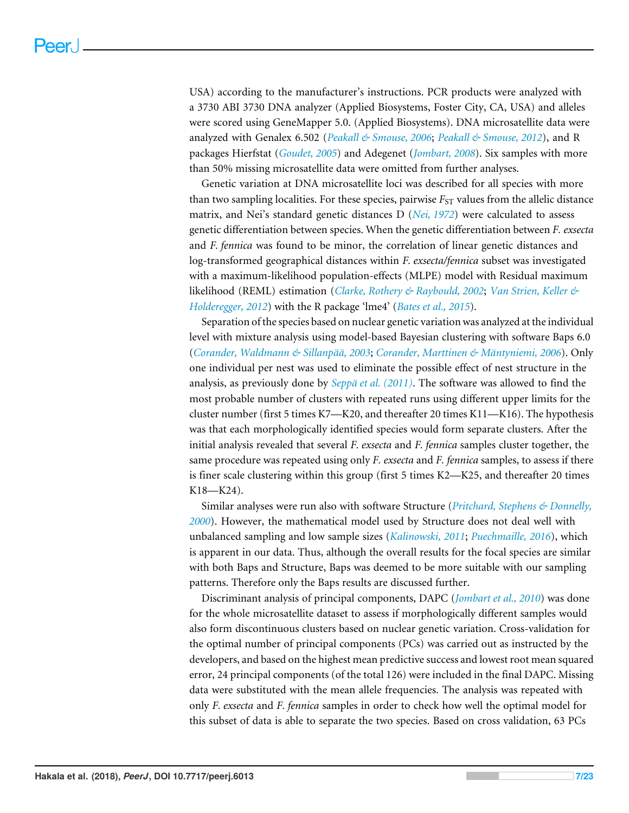USA) according to the manufacturer's instructions. PCR products were analyzed with a 3730 ABI 3730 DNA analyzer (Applied Biosystems, Foster City, CA, USA) and alleles were scored using GeneMapper 5.0. (Applied Biosystems). DNA microsatellite data were analyzed with Genalex 6.502 (*Peakall & Smouse, 2006*; *Peakall & Smouse, 2012*), and R packages Hierfstat (*Goudet, 2005*) and Adegenet (*Jombart, 2008*). Six samples with more than 50% missing microsatellite data were omitted from further analyses.

Genetic variation at DNA microsatellite loci was described for all species with more than two sampling localities. For these species, pairwise  $F_{ST}$  values from the allelic distance matrix, and Nei's standard genetic distances D (*Nei, 1972*) were calculated to assess genetic differentiation between species. When the genetic differentiation between *F. exsecta* and *F. fennica* was found to be minor, the correlation of linear genetic distances and log-transformed geographical distances within *F. exsecta/fennica* subset was investigated with a maximum-likelihood population-effects (MLPE) model with Residual maximum likelihood (REML) estimation (*Clarke, Rothery & Raybould, 2002*; *Van Strien, Keller & Holderegger, 2012*) with the R package 'lme4' (*Bates et al., 2015*).

Separation of the species based on nuclear genetic variation was analyzed at the individual level with mixture analysis using model-based Bayesian clustering with software Baps 6.0 (*Corander, Waldmann & Sillanpää, 2003*; *Corander, Marttinen & Mäntyniemi, 2006*). Only one individual per nest was used to eliminate the possible effect of nest structure in the analysis, as previously done by *Seppä et al. (2011)*. The software was allowed to find the most probable number of clusters with repeated runs using different upper limits for the cluster number (first 5 times K7—K20, and thereafter 20 times K11—K16). The hypothesis was that each morphologically identified species would form separate clusters. After the initial analysis revealed that several *F. exsecta* and *F. fennica* samples cluster together, the same procedure was repeated using only *F. exsecta* and *F. fennica* samples, to assess if there is finer scale clustering within this group (first 5 times K2—K25, and thereafter 20 times K18—K24).

Similar analyses were run also with software Structure (*Pritchard, Stephens & Donnelly, 2000*). However, the mathematical model used by Structure does not deal well with unbalanced sampling and low sample sizes (*Kalinowski, 2011*; *Puechmaille, 2016*), which is apparent in our data. Thus, although the overall results for the focal species are similar with both Baps and Structure, Baps was deemed to be more suitable with our sampling patterns. Therefore only the Baps results are discussed further.

Discriminant analysis of principal components, DAPC (*Jombart et al., 2010*) was done for the whole microsatellite dataset to assess if morphologically different samples would also form discontinuous clusters based on nuclear genetic variation. Cross-validation for the optimal number of principal components (PCs) was carried out as instructed by the developers, and based on the highest mean predictive success and lowest root mean squared error, 24 principal components (of the total 126) were included in the final DAPC. Missing data were substituted with the mean allele frequencies. The analysis was repeated with only *F. exsecta* and *F. fennica* samples in order to check how well the optimal model for this subset of data is able to separate the two species. Based on cross validation, 63 PCs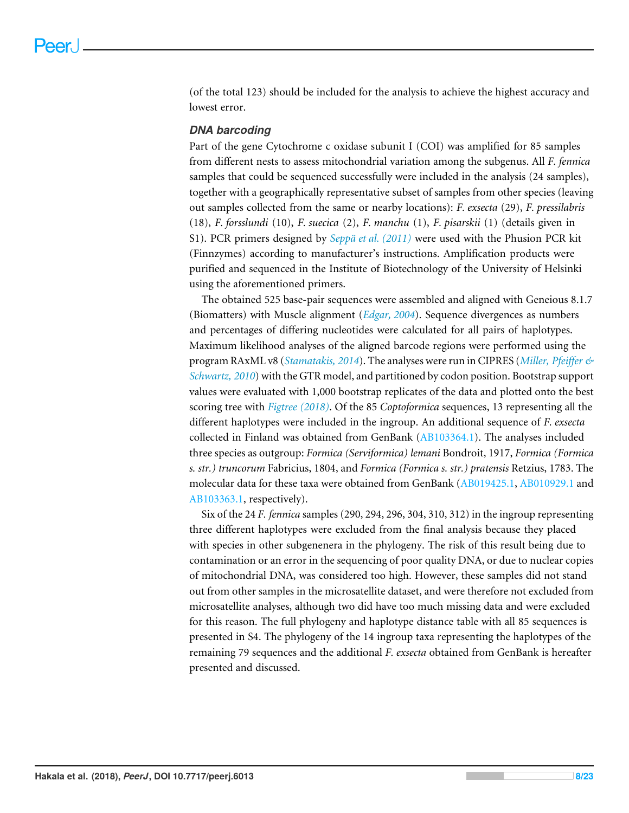(of the total 123) should be included for the analysis to achieve the highest accuracy and lowest error.

#### *DNA barcoding*

Part of the gene Cytochrome c oxidase subunit I (COI) was amplified for 85 samples from different nests to assess mitochondrial variation among the subgenus. All *F. fennica* samples that could be sequenced successfully were included in the analysis (24 samples), together with a geographically representative subset of samples from other species (leaving out samples collected from the same or nearby locations): *F. exsecta* (29), *F. pressilabris* (18), *F. forsslundi* (10), *F. suecica* (2), *F. manchu* (1), *F. pisarskii* (1) (details given in S1). PCR primers designed by *Seppä et al. (2011)* were used with the Phusion PCR kit (Finnzymes) according to manufacturer's instructions. Amplification products were purified and sequenced in the Institute of Biotechnology of the University of Helsinki using the aforementioned primers.

The obtained 525 base-pair sequences were assembled and aligned with Geneious 8.1.7 (Biomatters) with Muscle alignment (*Edgar, 2004*). Sequence divergences as numbers and percentages of differing nucleotides were calculated for all pairs of haplotypes. Maximum likelihood analyses of the aligned barcode regions were performed using the program RAxML v8 (*Stamatakis, 2014*). The analyses were run in CIPRES (*Miller, Pfeiffer & Schwartz, 2010*) with the GTR model, and partitioned by codon position. Bootstrap support values were evaluated with 1,000 bootstrap replicates of the data and plotted onto the best scoring tree with *Figtree (2018)*. Of the 85 *Coptoformica* sequences, 13 representing all the different haplotypes were included in the ingroup. An additional sequence of *F. exsecta* collected in Finland was obtained from GenBank [\(AB103364.1\)](http://www.ncbi.nlm.nih.gov/nuccore/AB103364.1). The analyses included three species as outgroup: *Formica (Serviformica) lemani* Bondroit, 1917, *Formica (Formica s. str.) truncorum* Fabricius, 1804, and *Formica (Formica s. str.) pratensis* Retzius, 1783. The molecular data for these taxa were obtained from GenBank [\(AB019425.1,](http://www.ncbi.nlm.nih.gov/nuccore/AB019425.1) [AB010929.1](http://www.ncbi.nlm.nih.gov/nuccore/AB010929.1) and [AB103363.1,](http://www.ncbi.nlm.nih.gov/nuccore/AB103363.1) respectively).

Six of the 24 *F. fennica* samples (290, 294, 296, 304, 310, 312) in the ingroup representing three different haplotypes were excluded from the final analysis because they placed with species in other subgenenera in the phylogeny. The risk of this result being due to contamination or an error in the sequencing of poor quality DNA, or due to nuclear copies of mitochondrial DNA, was considered too high. However, these samples did not stand out from other samples in the microsatellite dataset, and were therefore not excluded from microsatellite analyses, although two did have too much missing data and were excluded for this reason. The full phylogeny and haplotype distance table with all 85 sequences is presented in S4. The phylogeny of the 14 ingroup taxa representing the haplotypes of the remaining 79 sequences and the additional *F. exsecta* obtained from GenBank is hereafter presented and discussed.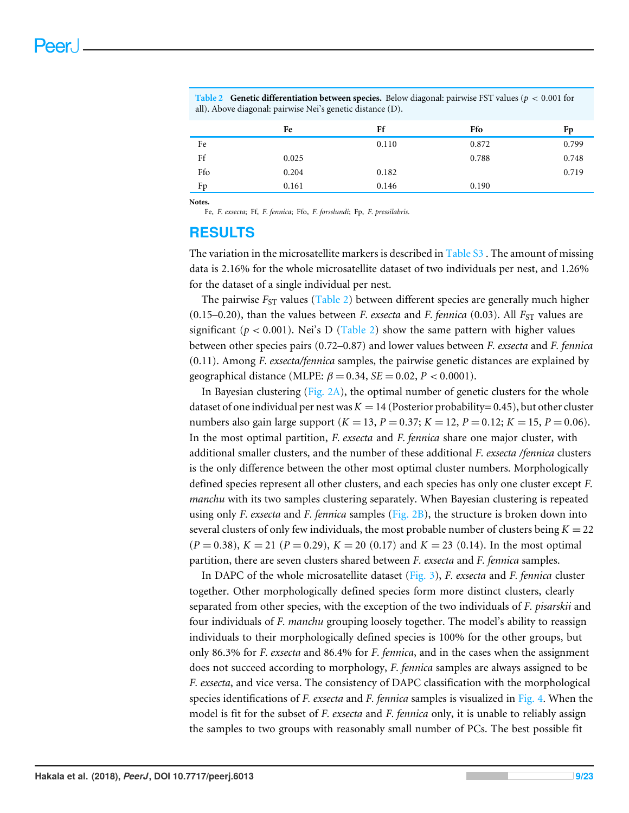|     | Fe    | Ff    | Ffo   | Fp    |
|-----|-------|-------|-------|-------|
| Fe  |       | 0.110 | 0.872 | 0.799 |
| Ff  | 0.025 |       | 0.788 | 0.748 |
| Ffo | 0.204 | 0.182 |       | 0.719 |
| Fp  | 0.161 | 0.146 | 0.190 |       |
|     |       |       |       |       |

**Table 2 Genetic differentiation between species.** Below diagonal: pairwise FST values ( $p < 0.001$  for all). Above diagonal: pairwise Nei's genetic distance (D).

**Notes.**

Fe, *F. exsecta*; Ff, *F. fennica*; Ffo, *F. forsslundi*; Fp, *F. pressilabris*.

# **RESULTS**

The variation in the microsatellite markers is described in [Table S3](http://dx.doi.org/10.7717/peerj.6013#supp-5) . The amount of missing data is 2.16% for the whole microsatellite dataset of two individuals per nest, and 1.26% for the dataset of a single individual per nest.

The pairwise  $F_{ST}$  values (Table 2) between different species are generally much higher (0.15–0.20), than the values between *F. exsecta* and *F. fennica* (0.03). All  $F_{ST}$  values are significant ( $p < 0.001$ ). Nei's D (Table 2) show the same pattern with higher values between other species pairs (0.72–0.87) and lower values between *F. exsecta* and *F. fennica* (0.11). Among *F. exsecta/fennica* samples, the pairwise genetic distances are explained by geographical distance (MLPE:  $\beta = 0.34$ , *SE* = 0.02, *P* < 0.0001).

In Bayesian clustering (Fig.  $2A$ ), the optimal number of genetic clusters for the whole dataset of one individual per nest was  $K = 14$  (Posterior probability= 0.45), but other cluster numbers also gain large support  $(K = 13, P = 0.37; K = 12, P = 0.12; K = 15, P = 0.06)$ . In the most optimal partition, *F. exsecta* and *F. fennica* share one major cluster, with additional smaller clusters, and the number of these additional *F. exsecta /fennica* clusters is the only difference between the other most optimal cluster numbers. Morphologically defined species represent all other clusters, and each species has only one cluster except *F. manchu* with its two samples clustering separately. When Bayesian clustering is repeated using only *F. exsecta* and *F. fennica* samples (Fig. 2B), the structure is broken down into several clusters of only few individuals, the most probable number of clusters being  $K = 22$  $(P = 0.38)$ ,  $K = 21$   $(P = 0.29)$ ,  $K = 20$   $(0.17)$  and  $K = 23$   $(0.14)$ . In the most optimal partition, there are seven clusters shared between *F. exsecta* and *F. fennica* samples.

In DAPC of the whole microsatellite dataset (Fig. 3), *F. exsecta* and *F. fennica* cluster together. Other morphologically defined species form more distinct clusters, clearly separated from other species, with the exception of the two individuals of *F. pisarskii* and four individuals of *F. manchu* grouping loosely together. The model's ability to reassign individuals to their morphologically defined species is 100% for the other groups, but only 86.3% for *F. exsecta* and 86.4% for *F. fennica*, and in the cases when the assignment does not succeed according to morphology, *F. fennica* samples are always assigned to be *F. exsecta*, and vice versa. The consistency of DAPC classification with the morphological species identifications of *F. exsecta* and *F. fennica* samples is visualized in Fig. 4. When the model is fit for the subset of *F. exsecta* and *F. fennica* only, it is unable to reliably assign the samples to two groups with reasonably small number of PCs. The best possible fit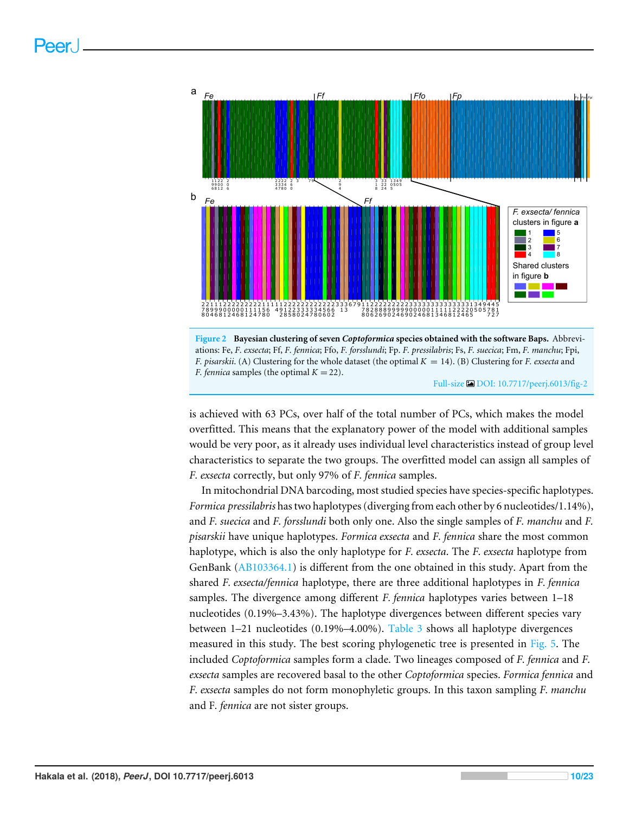



Full-size [DOI: 10.7717/peerj.6013/fig-2](https://doi.org/10.7717/peerj.6013/fig-2)

is achieved with 63 PCs, over half of the total number of PCs, which makes the model overfitted. This means that the explanatory power of the model with additional samples would be very poor, as it already uses individual level characteristics instead of group level characteristics to separate the two groups. The overfitted model can assign all samples of *F. exsecta* correctly, but only 97% of *F. fennica* samples.

In mitochondrial DNA barcoding, most studied species have species-specific haplotypes. *Formica pressilabris* has two haplotypes (diverging from each other by 6 nucleotides/1.14%), and *F. suecica* and *F. forsslundi* both only one. Also the single samples of *F. manchu* and *F. pisarskii* have unique haplotypes. *Formica exsecta* and *F. fennica* share the most common haplotype, which is also the only haplotype for *F. exsecta*. The *F. exsecta* haplotype from GenBank [\(AB103364.1\)](http://www.ncbi.nlm.nih.gov/nuccore/AB103364.1) is different from the one obtained in this study. Apart from the shared *F. exsecta/fennica* haplotype, there are three additional haplotypes in *F. fennica* samples. The divergence among different *F. fennica* haplotypes varies between 1–18 nucleotides (0.19%–3.43%). The haplotype divergences between different species vary between 1–21 nucleotides (0.19%–4.00%). Table 3 shows all haplotype divergences measured in this study. The best scoring phylogenetic tree is presented in Fig. 5. The included *Coptoformica* samples form a clade. Two lineages composed of *F. fennica* and *F. exsecta* samples are recovered basal to the other *Coptoformica* species. *Formica fennica* and *F. exsecta* samples do not form monophyletic groups. In this taxon sampling *F. manchu* and F*. fennica* are not sister groups.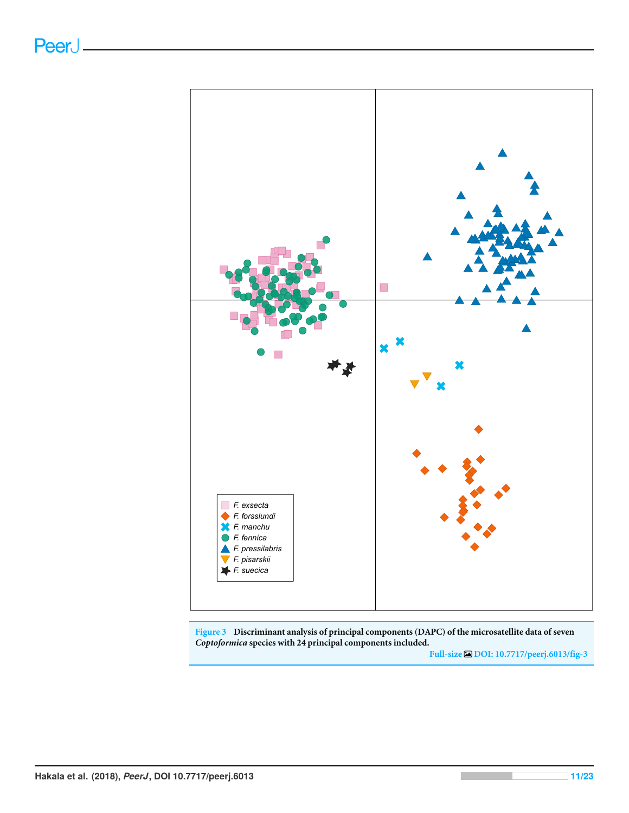

**Figure 3 Discriminant analysis of principal components (DAPC) of the microsatellite data of seven** *Coptoformica* **species with 24 principal components included.**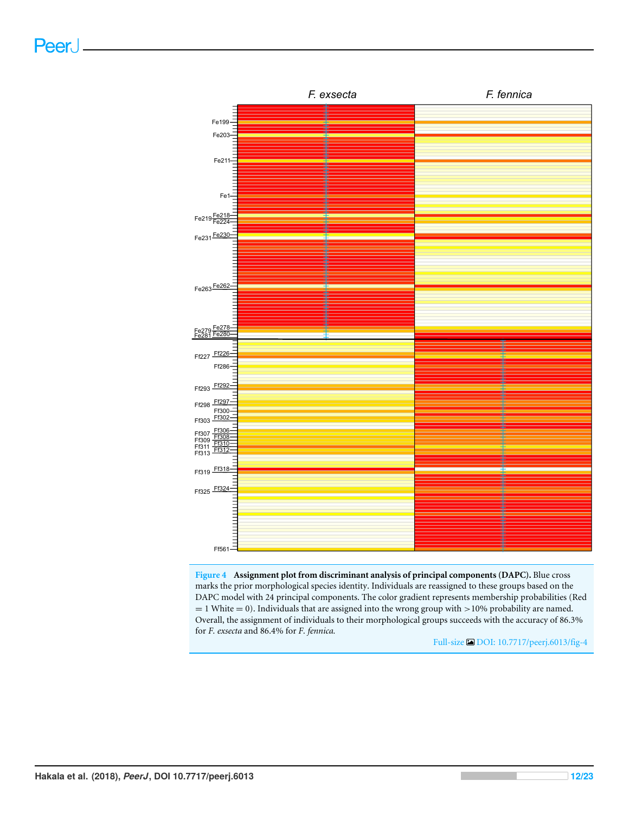

**Figure 4 Assignment plot from discriminant analysis of principal components (DAPC).** Blue cross marks the prior morphological species identity. Individuals are reassigned to these groups based on the DAPC model with 24 principal components. The color gradient represents membership probabilities (Red  $= 1$  White  $= 0$ ). Individuals that are assigned into the wrong group with  $> 10\%$  probability are named. Overall, the assignment of individuals to their morphological groups succeeds with the accuracy of 86.3% for *F. exsecta* and 86.4% for *F. fennica.*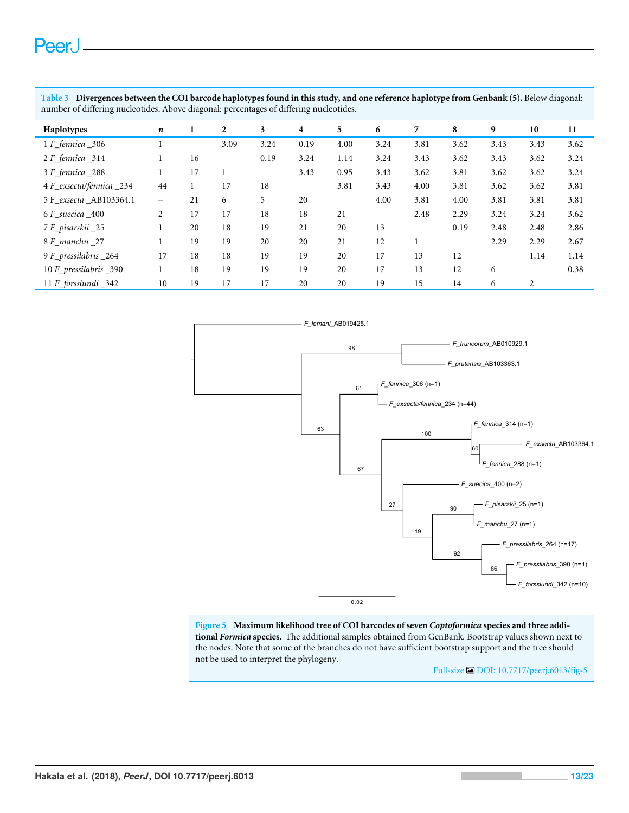**Table 3 Divergences between the COI barcode haplotypes found in this study, and one reference haplotype from Genbank (5).** Below diagonal: number of differing nucleotides. Above diagonal: percentages of differing nucleotides.

| Haplotypes              | n              | 1  | 2    | 3    | $\overline{\mathbf{4}}$ | 5    | 6    | 7    | 8    | 9    | 10   | 11   |
|-------------------------|----------------|----|------|------|-------------------------|------|------|------|------|------|------|------|
| 1 F_fennica _306        |                |    | 3.09 | 3.24 | 0.19                    | 4.00 | 3.24 | 3.81 | 3.62 | 3.43 | 3.43 | 3.62 |
| 2 F_fennica_314         |                | 16 |      | 0.19 | 3.24                    | 1.14 | 3.24 | 3.43 | 3.62 | 3.43 | 3.62 | 3.24 |
| 3 F_fennica_288         |                | 17 |      |      | 3.43                    | 0.95 | 3.43 | 3.62 | 3.81 | 3.62 | 3.62 | 3.24 |
| 4 F_exsecta/fennica_234 | 44             |    | 17   | 18   |                         | 3.81 | 3.43 | 4.00 | 3.81 | 3.62 | 3.62 | 3.81 |
| 5 F_exsecta_AB103364.1  | -              | 21 | 6    | 5    | 20                      |      | 4.00 | 3.81 | 4.00 | 3.81 | 3.81 | 3.81 |
| 6 F suecica 400         | $\overline{2}$ | 17 | 17   | 18   | 18                      | 21   |      | 2.48 | 2.29 | 3.24 | 3.24 | 3.62 |
| 7 F_pisarskii _25       |                | 20 | 18   | 19   | 21                      | 20   | 13   |      | 0.19 | 2.48 | 2.48 | 2.86 |
| 8 F_manchu _27          | 1              | 19 | 19   | 20   | 20                      | 21   | 12   |      |      | 2.29 | 2.29 | 2.67 |
| 9 F_pressilabris _264   | 17             | 18 | 18   | 19   | 19                      | 20   | 17   | 13   | 12   |      | 1.14 | 1.14 |
| 10 F_pressilabris _390  |                | 18 | 19   | 19   | 19                      | 20   | 17   | 13   | 12   | 6    |      | 0.38 |
| 11 F_forsslundi_342     | 10             | 19 | 17   | 17   | 20                      | 20   | 19   | 15   | 14   | 6    | 2    |      |



**Figure 5 Maximum likelihood tree of COI barcodes of seven** *Coptoformica* **species and three additional** *Formica* **species.** The additional samples obtained from GenBank. Bootstrap values shown next to the nodes. Note that some of the branches do not have sufficient bootstrap support and the tree should not be used to interpret the phylogeny.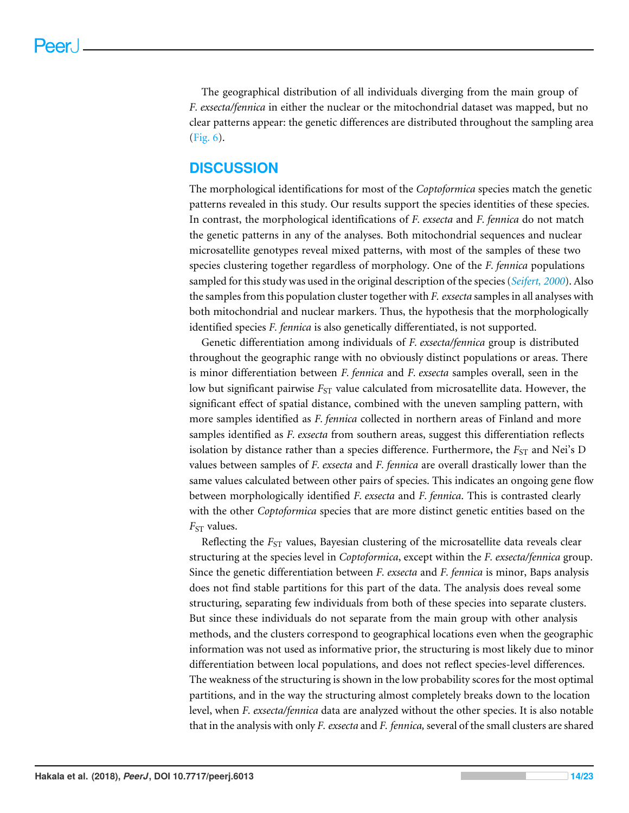The geographical distribution of all individuals diverging from the main group of *F. exsecta/fennica* in either the nuclear or the mitochondrial dataset was mapped, but no clear patterns appear: the genetic differences are distributed throughout the sampling area (Fig. 6).

# **DISCUSSION**

The morphological identifications for most of the *Coptoformica* species match the genetic patterns revealed in this study. Our results support the species identities of these species. In contrast, the morphological identifications of *F. exsecta* and *F. fennica* do not match the genetic patterns in any of the analyses. Both mitochondrial sequences and nuclear microsatellite genotypes reveal mixed patterns, with most of the samples of these two species clustering together regardless of morphology. One of the *F. fennica* populations sampled for this study was used in the original description of the species (*Seifert, 2000*). Also the samples from this population cluster together with *F. exsecta* samples in all analyses with both mitochondrial and nuclear markers. Thus, the hypothesis that the morphologically identified species *F. fennica* is also genetically differentiated, is not supported.

Genetic differentiation among individuals of *F. exsecta/fennica* group is distributed throughout the geographic range with no obviously distinct populations or areas. There is minor differentiation between *F. fennica* and *F. exsecta* samples overall, seen in the low but significant pairwise  $F_{ST}$  value calculated from microsatellite data. However, the significant effect of spatial distance, combined with the uneven sampling pattern, with more samples identified as *F. fennica* collected in northern areas of Finland and more samples identified as *F. exsecta* from southern areas, suggest this differentiation reflects isolation by distance rather than a species difference. Furthermore, the  $F_{ST}$  and Nei's D values between samples of *F. exsecta* and *F. fennica* are overall drastically lower than the same values calculated between other pairs of species. This indicates an ongoing gene flow between morphologically identified *F. exsecta* and *F. fennica*. This is contrasted clearly with the other *Coptoformica* species that are more distinct genetic entities based on the  $F_{ST}$  values.

Reflecting the *F<sub>ST</sub>* values, Bayesian clustering of the microsatellite data reveals clear structuring at the species level in *Coptoformica*, except within the *F. exsecta/fennica* group. Since the genetic differentiation between *F. exsecta* and *F. fennica* is minor, Baps analysis does not find stable partitions for this part of the data. The analysis does reveal some structuring, separating few individuals from both of these species into separate clusters. But since these individuals do not separate from the main group with other analysis methods, and the clusters correspond to geographical locations even when the geographic information was not used as informative prior, the structuring is most likely due to minor differentiation between local populations, and does not reflect species-level differences. The weakness of the structuring is shown in the low probability scores for the most optimal partitions, and in the way the structuring almost completely breaks down to the location level, when *F. exsecta/fennica* data are analyzed without the other species. It is also notable that in the analysis with only *F. exsecta* and *F. fennica,* several of the small clusters are shared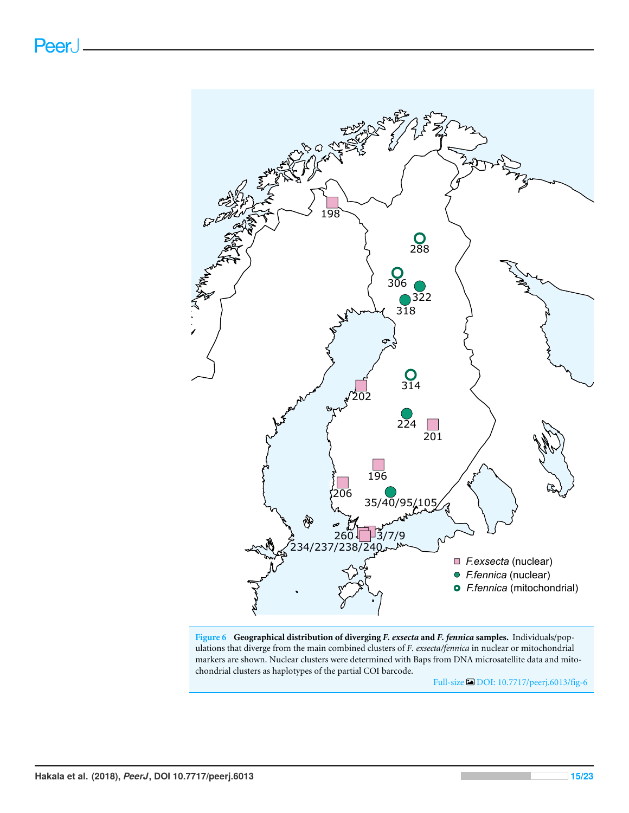

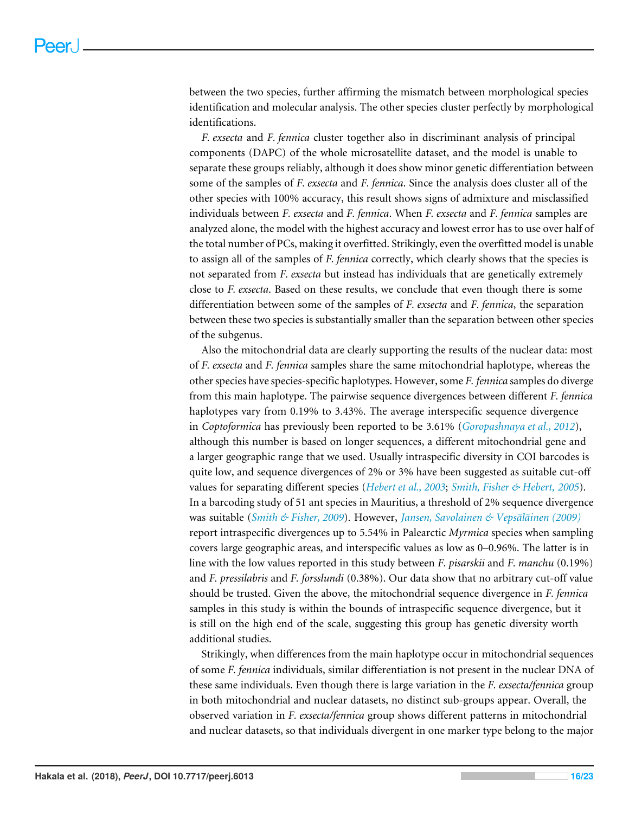between the two species, further affirming the mismatch between morphological species identification and molecular analysis. The other species cluster perfectly by morphological identifications.

*F. exsecta* and *F. fennica* cluster together also in discriminant analysis of principal components (DAPC) of the whole microsatellite dataset, and the model is unable to separate these groups reliably, although it does show minor genetic differentiation between some of the samples of *F. exsecta* and *F. fennica*. Since the analysis does cluster all of the other species with 100% accuracy, this result shows signs of admixture and misclassified individuals between *F. exsecta* and *F. fennica*. When *F. exsecta* and *F. fennica* samples are analyzed alone, the model with the highest accuracy and lowest error has to use over half of the total number of PCs, making it overfitted. Strikingly, even the overfitted model is unable to assign all of the samples of *F. fennica* correctly, which clearly shows that the species is not separated from *F. exsecta* but instead has individuals that are genetically extremely close to *F. exsecta*. Based on these results, we conclude that even though there is some differentiation between some of the samples of *F. exsecta* and *F. fennica*, the separation between these two species is substantially smaller than the separation between other species of the subgenus.

Also the mitochondrial data are clearly supporting the results of the nuclear data: most of *F. exsecta* and *F. fennica* samples share the same mitochondrial haplotype, whereas the other species have species-specific haplotypes. However, some *F. fennica* samples do diverge from this main haplotype. The pairwise sequence divergences between different *F. fennica* haplotypes vary from 0.19% to 3.43%. The average interspecific sequence divergence in *Coptoformica* has previously been reported to be 3.61% (*Goropashnaya et al., 2012*), although this number is based on longer sequences, a different mitochondrial gene and a larger geographic range that we used. Usually intraspecific diversity in COI barcodes is quite low, and sequence divergences of 2% or 3% have been suggested as suitable cut-off values for separating different species (*Hebert et al., 2003*; *Smith, Fisher & Hebert, 2005*). In a barcoding study of 51 ant species in Mauritius, a threshold of 2% sequence divergence was suitable (*Smith & Fisher, 2009*). However, *Jansen, Savolainen & Vepsäläinen (2009)* report intraspecific divergences up to 5.54% in Palearctic *Myrmica* species when sampling covers large geographic areas, and interspecific values as low as 0–0.96%. The latter is in line with the low values reported in this study between *F. pisarskii* and *F. manchu* (0.19%) and *F. pressilabris* and *F. forsslundi* (0.38%). Our data show that no arbitrary cut-off value should be trusted. Given the above, the mitochondrial sequence divergence in *F. fennica* samples in this study is within the bounds of intraspecific sequence divergence, but it is still on the high end of the scale, suggesting this group has genetic diversity worth additional studies.

Strikingly, when differences from the main haplotype occur in mitochondrial sequences of some *F. fennica* individuals, similar differentiation is not present in the nuclear DNA of these same individuals. Even though there is large variation in the *F. exsecta/fennica* group in both mitochondrial and nuclear datasets, no distinct sub-groups appear. Overall, the observed variation in *F. exsecta/fennica* group shows different patterns in mitochondrial and nuclear datasets, so that individuals divergent in one marker type belong to the major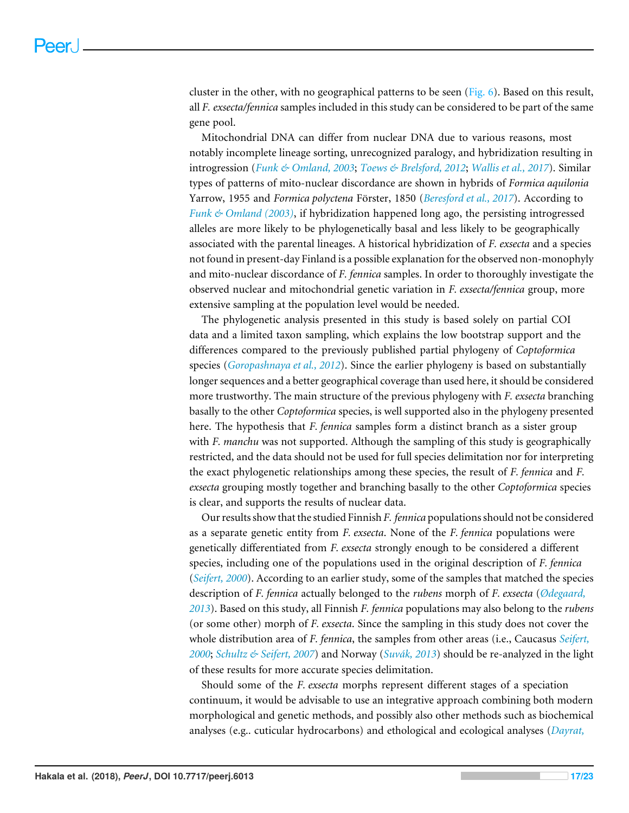cluster in the other, with no geographical patterns to be seen  $(Fig. 6)$ . Based on this result, all *F. exsecta/fennica* samples included in this study can be considered to be part of the same gene pool.

Mitochondrial DNA can differ from nuclear DNA due to various reasons, most notably incomplete lineage sorting, unrecognized paralogy, and hybridization resulting in introgression (*Funk & Omland, 2003*; *Toews & Brelsford, 2012*; *Wallis et al., 2017*). Similar types of patterns of mito-nuclear discordance are shown in hybrids of *Formica aquilonia* Yarrow, 1955 and *Formica polyctena* Förster, 1850 (*Beresford et al., 2017*). According to *Funk & Omland (2003)*, if hybridization happened long ago, the persisting introgressed alleles are more likely to be phylogenetically basal and less likely to be geographically associated with the parental lineages. A historical hybridization of *F. exsecta* and a species not found in present-day Finland is a possible explanation for the observed non-monophyly and mito-nuclear discordance of *F. fennica* samples. In order to thoroughly investigate the observed nuclear and mitochondrial genetic variation in *F. exsecta/fennica* group, more extensive sampling at the population level would be needed.

The phylogenetic analysis presented in this study is based solely on partial COI data and a limited taxon sampling, which explains the low bootstrap support and the differences compared to the previously published partial phylogeny of *Coptoformica* species (*Goropashnaya et al., 2012*). Since the earlier phylogeny is based on substantially longer sequences and a better geographical coverage than used here, it should be considered more trustworthy. The main structure of the previous phylogeny with *F. exsecta* branching basally to the other *Coptoformica* species, is well supported also in the phylogeny presented here. The hypothesis that *F. fennica* samples form a distinct branch as a sister group with *F. manchu* was not supported. Although the sampling of this study is geographically restricted, and the data should not be used for full species delimitation nor for interpreting the exact phylogenetic relationships among these species, the result of *F. fennica* and *F. exsecta* grouping mostly together and branching basally to the other *Coptoformica* species is clear, and supports the results of nuclear data.

Our results show that the studied Finnish *F. fennica* populations should not be considered as a separate genetic entity from *F. exsecta*. None of the *F. fennica* populations were genetically differentiated from *F. exsecta* strongly enough to be considered a different species, including one of the populations used in the original description of *F. fennica* (*Seifert, 2000*). According to an earlier study, some of the samples that matched the species description of *F. fennica* actually belonged to the *rubens* morph of *F. exsecta* (*Ødegaard, 2013*). Based on this study, all Finnish *F. fennica* populations may also belong to the *rubens* (or some other) morph of *F. exsecta*. Since the sampling in this study does not cover the whole distribution area of *F. fennica*, the samples from other areas (i.e., Caucasus *Seifert, 2000*; *Schultz & Seifert, 2007*) and Norway (*Suvák, 2013*) should be re-analyzed in the light of these results for more accurate species delimitation.

Should some of the *F. exsecta* morphs represent different stages of a speciation continuum, it would be advisable to use an integrative approach combining both modern morphological and genetic methods, and possibly also other methods such as biochemical analyses (e.g.. cuticular hydrocarbons) and ethological and ecological analyses (*Dayrat,*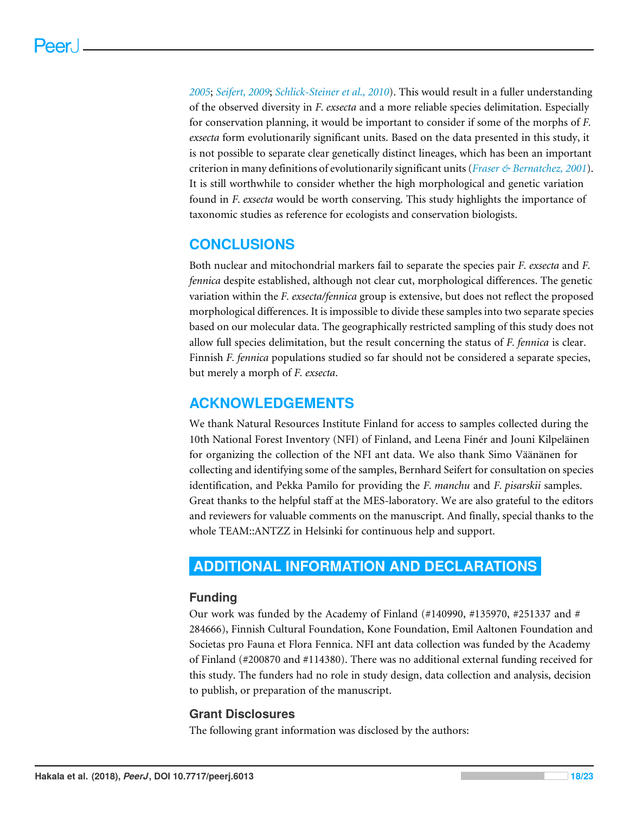*2005*; *Seifert, 2009*; *Schlick-Steiner et al., 2010*). This would result in a fuller understanding of the observed diversity in *F. exsecta* and a more reliable species delimitation. Especially for conservation planning, it would be important to consider if some of the morphs of *F. exsecta* form evolutionarily significant units. Based on the data presented in this study, it is not possible to separate clear genetically distinct lineages, which has been an important criterion in many definitions of evolutionarily significant units (*Fraser & Bernatchez, 2001*). It is still worthwhile to consider whether the high morphological and genetic variation found in *F. exsecta* would be worth conserving. This study highlights the importance of taxonomic studies as reference for ecologists and conservation biologists.

# **CONCLUSIONS**

Both nuclear and mitochondrial markers fail to separate the species pair *F. exsecta* and *F. fennica* despite established, although not clear cut, morphological differences. The genetic variation within the *F. exsecta/fennica* group is extensive, but does not reflect the proposed morphological differences. It is impossible to divide these samples into two separate species based on our molecular data. The geographically restricted sampling of this study does not allow full species delimitation, but the result concerning the status of *F. fennica* is clear. Finnish *F. fennica* populations studied so far should not be considered a separate species, but merely a morph of *F. exsecta*.

# **ACKNOWLEDGEMENTS**

We thank Natural Resources Institute Finland for access to samples collected during the 10th National Forest Inventory (NFI) of Finland, and Leena Finér and Jouni Kilpeläinen for organizing the collection of the NFI ant data. We also thank Simo Väänänen for collecting and identifying some of the samples, Bernhard Seifert for consultation on species identification, and Pekka Pamilo for providing the *F. manchu* and *F. pisarskii* samples. Great thanks to the helpful staff at the MES-laboratory. We are also grateful to the editors and reviewers for valuable comments on the manuscript. And finally, special thanks to the whole TEAM::ANTZZ in Helsinki for continuous help and support.

# **ADDITIONAL INFORMATION AND DECLARATIONS**

# **Funding**

Our work was funded by the Academy of Finland (#140990, #135970, #251337 and # 284666), Finnish Cultural Foundation, Kone Foundation, Emil Aaltonen Foundation and Societas pro Fauna et Flora Fennica. NFI ant data collection was funded by the Academy of Finland (#200870 and #114380). There was no additional external funding received for this study. The funders had no role in study design, data collection and analysis, decision to publish, or preparation of the manuscript.

## **Grant Disclosures**

The following grant information was disclosed by the authors: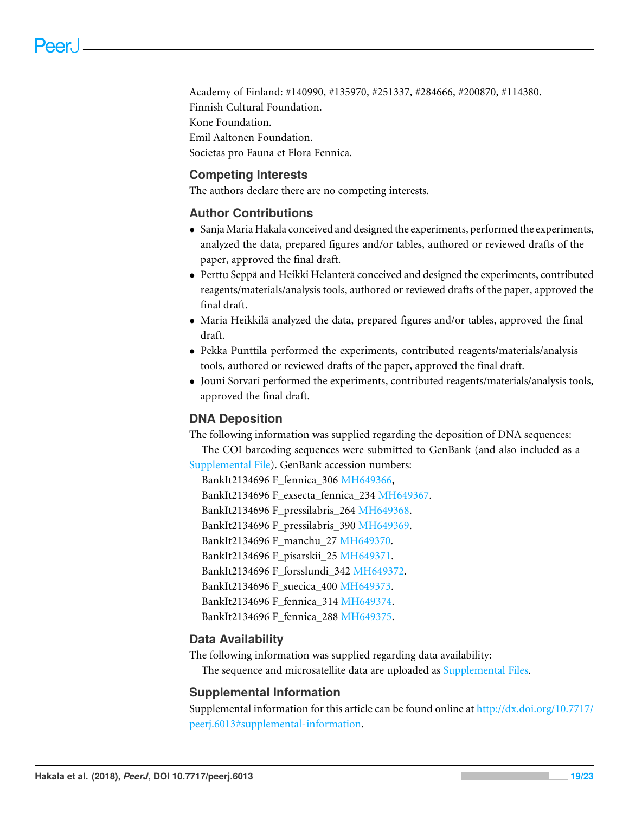Academy of Finland: #140990, #135970, #251337, #284666, #200870, #114380. Finnish Cultural Foundation. Kone Foundation. Emil Aaltonen Foundation. Societas pro Fauna et Flora Fennica.

## **Competing Interests**

The authors declare there are no competing interests.

## **Author Contributions**

- Sanja Maria Hakala conceived and designed the experiments, performed the experiments, analyzed the data, prepared figures and/or tables, authored or reviewed drafts of the paper, approved the final draft.
- Perttu Seppä and Heikki Helanterä conceived and designed the experiments, contributed reagents/materials/analysis tools, authored or reviewed drafts of the paper, approved the final draft.
- Maria Heikkilä analyzed the data, prepared figures and/or tables, approved the final draft.
- Pekka Punttila performed the experiments, contributed reagents/materials/analysis tools, authored or reviewed drafts of the paper, approved the final draft.
- Jouni Sorvari performed the experiments, contributed reagents/materials/analysis tools, approved the final draft.

## **DNA Deposition**

The following information was supplied regarding the deposition of DNA sequences:

The COI barcoding sequences were submitted to GenBank (and also included as a [Supplemental File\)](http://dx.doi.org/10.7717/peerj.6013#supplemental-information). GenBank accession numbers:

BankIt2134696 F\_fennica\_306 [MH649366,](http://www.ncbi.nlm.nih.gov/nuccore/MH649366)

BankIt2134696 F\_exsecta\_fennica\_234 [MH649367.](http://www.ncbi.nlm.nih.gov/nuccore/MH649367)

BankIt2134696 F\_pressilabris\_264 [MH649368.](http://www.ncbi.nlm.nih.gov/nuccore/MH649368)

BankIt2134696 F\_pressilabris\_390 [MH649369.](http://www.ncbi.nlm.nih.gov/nuccore/MH649369)

BankIt2134696 F\_manchu\_27 [MH649370.](http://www.ncbi.nlm.nih.gov/nuccore/MH649370)

BankIt2134696 F\_pisarskii\_25 [MH649371.](http://www.ncbi.nlm.nih.gov/nuccore/MH649371)

BankIt2134696 F\_forsslundi\_342 [MH649372.](http://www.ncbi.nlm.nih.gov/nuccore/MH649372)

BankIt2134696 F\_suecica\_400 [MH649373.](http://www.ncbi.nlm.nih.gov/nuccore/MH649373)

BankIt2134696 F\_fennica\_314 [MH649374.](http://www.ncbi.nlm.nih.gov/nuccore/MH649374)

BankIt2134696 F\_fennica\_288 [MH649375.](http://www.ncbi.nlm.nih.gov/nuccore/MH649375)

## **Data Availability**

The following information was supplied regarding data availability:

The sequence and microsatellite data are uploaded as [Supplemental Files.](http://dx.doi.org/10.7717/peerj.6013#supplemental-information)

## **Supplemental Information**

Supplemental information for this article can be found online at [http://dx.doi.org/10.7717/](http://dx.doi.org/10.7717/peerj.6013#supplemental-information) [peerj.6013#supplemental-information.](http://dx.doi.org/10.7717/peerj.6013#supplemental-information)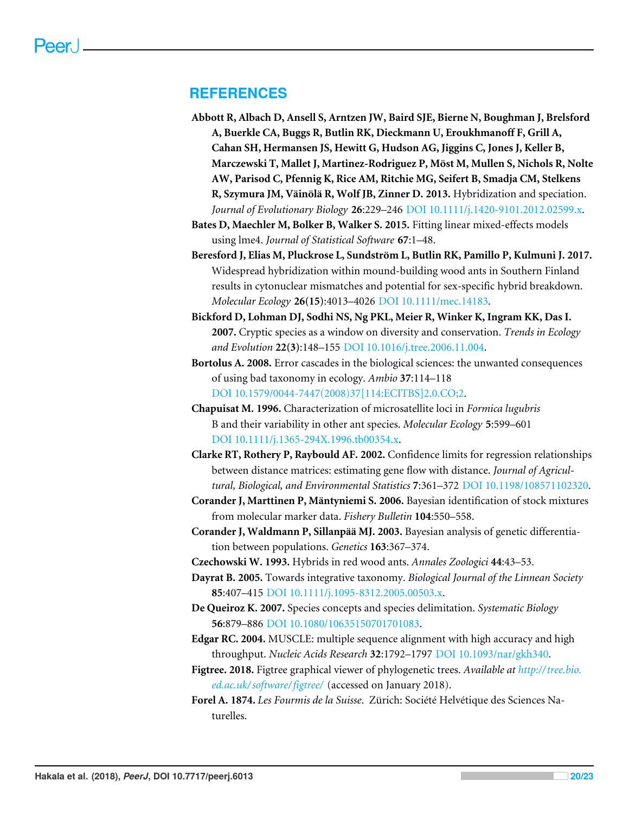## **REFERENCES**

- **Abbott R, Albach D, Ansell S, Arntzen JW, Baird SJE, Bierne N, Boughman J, Brelsford A, Buerkle CA, Buggs R, Butlin RK, Dieckmann U, Eroukhmanoff F, Grill A, Cahan SH, Hermansen JS, Hewitt G, Hudson AG, Jiggins C, Jones J, Keller B, Marczewski T, Mallet J, Martinez-Rodriguez P, Möst M, Mullen S, Nichols R, Nolte AW, Parisod C, Pfennig K, Rice AM, Ritchie MG, Seifert B, Smadja CM, Stelkens R, Szymura JM, Väinölä R, Wolf JB, Zinner D. 2013.** Hybridization and speciation. *Journal of Evolutionary Biology* **26**:229–246 [DOI 10.1111/j.1420-9101.2012.02599.x.](http://dx.doi.org/10.1111/j.1420-9101.2012.02599.x)
- **Bates D, Maechler M, Bolker B, Walker S. 2015.** Fitting linear mixed-effects models using lme4. *Journal of Statistical Software* **67**:1–48.
- **Beresford J, Elias M, Pluckrose L, Sundström L, Butlin RK, Pamillo P, Kulmuni J. 2017.** Widespread hybridization within mound-building wood ants in Southern Finland results in cytonuclear mismatches and potential for sex-specific hybrid breakdown. *Molecular Ecology* **26(15)**:4013–4026 [DOI 10.1111/mec.14183.](http://dx.doi.org/10.1111/mec.14183)
- **Bickford D, Lohman DJ, Sodhi NS, Ng PKL, Meier R, Winker K, Ingram KK, Das I. 2007.** Cryptic species as a window on diversity and conservation. *Trends in Ecology and Evolution* **22(3)**:148–155 [DOI 10.1016/j.tree.2006.11.004.](http://dx.doi.org/10.1016/j.tree.2006.11.004)
- **Bortolus A. 2008.** Error cascades in the biological sciences: the unwanted consequences of using bad taxonomy in ecology. *Ambio* **37**:114–118 [DOI 10.1579/0044-7447\(2008\)37\[114:ECITBS\]2.0.CO;2.](http://dx.doi.org/10.1579/0044-7447(2008)37[114:ECITBS]2.0.CO;2)
- **Chapuisat M. 1996.** Characterization of microsatellite loci in *Formica lugubris* B and their variability in other ant species. *Molecular Ecology* **5**:599–601 [DOI 10.1111/j.1365-294X.1996.tb00354.x.](http://dx.doi.org/10.1111/j.1365-294X.1996.tb00354.x)
- **Clarke RT, Rothery P, Raybould AF. 2002.** Confidence limits for regression relationships between distance matrices: estimating gene flow with distance. *Journal of Agricultural, Biological, and Environmental Statistics* **7**:361–372 [DOI 10.1198/108571102320.](http://dx.doi.org/10.1198/108571102320)
- **Corander J, Marttinen P, Mäntyniemi S. 2006.** Bayesian identification of stock mixtures from molecular marker data. *Fishery Bulletin* **104**:550–558.
- **Corander J, Waldmann P, Sillanpää MJ. 2003.** Bayesian analysis of genetic differentiation between populations. *Genetics* **163**:367–374.
- **Czechowski W. 1993.** Hybrids in red wood ants. *Annales Zoologici* **44**:43–53.
- **Dayrat B. 2005.** Towards integrative taxonomy. *Biological Journal of the Linnean Society* **85**:407–415 [DOI 10.1111/j.1095-8312.2005.00503.x.](http://dx.doi.org/10.1111/j.1095-8312.2005.00503.x)
- **De Queiroz K. 2007.** Species concepts and species delimitation. *Systematic Biology* **56**:879–886 [DOI 10.1080/10635150701701083.](http://dx.doi.org/10.1080/10635150701701083)
- **Edgar RC. 2004.** MUSCLE: multiple sequence alignment with high accuracy and high throughput. *Nucleic Acids Research* **32**:1792–1797 [DOI 10.1093/nar/gkh340.](http://dx.doi.org/10.1093/nar/gkh340)
- **Figtree. 2018.** Figtree graphical viewer of phylogenetic trees. *Available at [http://tree.bio.](http://tree.bio.ed.ac.uk/software/figtree/) [ed.ac.uk/ software/figtree/](http://tree.bio.ed.ac.uk/software/figtree/)* (accessed on January 2018).
- **Forel A. 1874.** *Les Fourmis de la Suisse*. Zürich: Société Helvétique des Sciences Naturelles.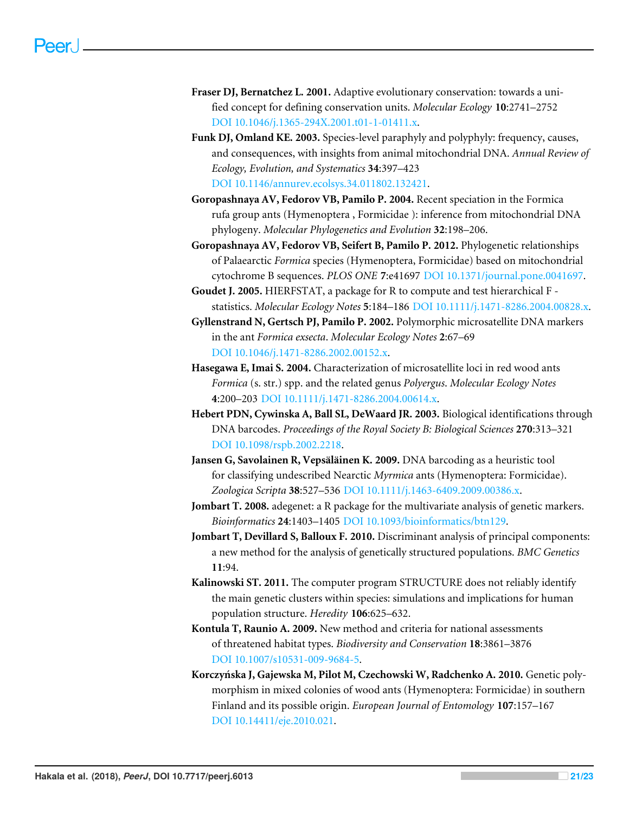- **Fraser DJ, Bernatchez L. 2001.** Adaptive evolutionary conservation: towards a unified concept for defining conservation units. *Molecular Ecology* **10**:2741–2752 [DOI 10.1046/j.1365-294X.2001.t01-1-01411.x.](http://dx.doi.org/10.1046/j.1365-294X.2001.t01-1-01411.x)
- **Funk DJ, Omland KE. 2003.** Species-level paraphyly and polyphyly: frequency, causes, and consequences, with insights from animal mitochondrial DNA. *Annual Review of Ecology, Evolution, and Systematics* **34**:397–423 [DOI 10.1146/annurev.ecolsys.34.011802.132421.](http://dx.doi.org/10.1146/annurev.ecolsys.34.011802.132421)
- **Goropashnaya AV, Fedorov VB, Pamilo P. 2004.** Recent speciation in the Formica rufa group ants (Hymenoptera , Formicidae ): inference from mitochondrial DNA phylogeny. *Molecular Phylogenetics and Evolution* **32**:198–206.
- **Goropashnaya AV, Fedorov VB, Seifert B, Pamilo P. 2012.** Phylogenetic relationships of Palaearctic *Formica* species (Hymenoptera, Formicidae) based on mitochondrial cytochrome B sequences. *PLOS ONE* **7**:e41697 [DOI 10.1371/journal.pone.0041697.](http://dx.doi.org/10.1371/journal.pone.0041697)
- **Goudet J. 2005.** HIERFSTAT, a package for R to compute and test hierarchical F statistics. *Molecular Ecology Notes* **5**:184–186 [DOI 10.1111/j.1471-8286.2004.00828.x.](http://dx.doi.org/10.1111/j.1471-8286.2004.00828.x)
- **Gyllenstrand N, Gertsch PJ, Pamilo P. 2002.** Polymorphic microsatellite DNA markers in the ant *Formica exsecta*. *Molecular Ecology Notes* **2**:67–69 [DOI 10.1046/j.1471-8286.2002.00152.x.](http://dx.doi.org/10.1046/j.1471-8286.2002.00152.x)
- **Hasegawa E, Imai S. 2004.** Characterization of microsatellite loci in red wood ants *Formica* (s. str.) spp. and the related genus *Polyergus*. *Molecular Ecology Notes* **4**:200–203 [DOI 10.1111/j.1471-8286.2004.00614.x.](http://dx.doi.org/10.1111/j.1471-8286.2004.00614.x)
- **Hebert PDN, Cywinska A, Ball SL, DeWaard JR. 2003.** Biological identifications through DNA barcodes. *Proceedings of the Royal Society B: Biological Sciences* **270**:313–321 [DOI 10.1098/rspb.2002.2218.](http://dx.doi.org/10.1098/rspb.2002.2218)
- **Jansen G, Savolainen R, Vepsäläinen K. 2009.** DNA barcoding as a heuristic tool for classifying undescribed Nearctic *Myrmica* ants (Hymenoptera: Formicidae). *Zoologica Scripta* **38**:527–536 [DOI 10.1111/j.1463-6409.2009.00386.x.](http://dx.doi.org/10.1111/j.1463-6409.2009.00386.x)
- **Jombart T. 2008.** adegenet: a R package for the multivariate analysis of genetic markers. *Bioinformatics* **24**:1403–1405 [DOI 10.1093/bioinformatics/btn129.](http://dx.doi.org/10.1093/bioinformatics/btn129)
- **Jombart T, Devillard S, Balloux F. 2010.** Discriminant analysis of principal components: a new method for the analysis of genetically structured populations. *BMC Genetics* **11**:94.
- **Kalinowski ST. 2011.** The computer program STRUCTURE does not reliably identify the main genetic clusters within species: simulations and implications for human population structure. *Heredity* **106**:625–632.
- **Kontula T, Raunio A. 2009.** New method and criteria for national assessments of threatened habitat types. *Biodiversity and Conservation* **18**:3861–3876 [DOI 10.1007/s10531-009-9684-5.](http://dx.doi.org/10.1007/s10531-009-9684-5)
- **Korczyńska J, Gajewska M, Pilot M, Czechowski W, Radchenko A. 2010.** Genetic polymorphism in mixed colonies of wood ants (Hymenoptera: Formicidae) in southern Finland and its possible origin. *European Journal of Entomology* **107**:157–167 [DOI 10.14411/eje.2010.021.](http://dx.doi.org/10.14411/eje.2010.021)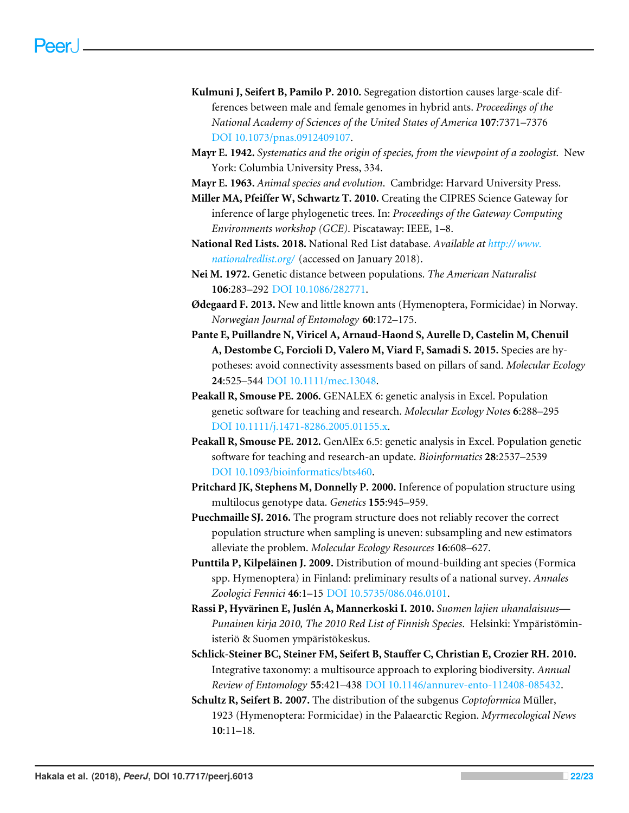- **Kulmuni J, Seifert B, Pamilo P. 2010.** Segregation distortion causes large-scale differences between male and female genomes in hybrid ants. *Proceedings of the National Academy of Sciences of the United States of America* **107**:7371–7376 [DOI 10.1073/pnas.0912409107.](http://dx.doi.org/10.1073/pnas.0912409107)
- **Mayr E. 1942.** *Systematics and the origin of species, from the viewpoint of a zoologist*. New York: Columbia University Press, 334.
- **Mayr E. 1963.** *Animal species and evolution*. Cambridge: Harvard University Press.
- **Miller MA, Pfeiffer W, Schwartz T. 2010.** Creating the CIPRES Science Gateway for inference of large phylogenetic trees. In: *Proceedings of the Gateway Computing Environments workshop (GCE)*. Piscataway: IEEE, 1–8.
- **National Red Lists. 2018.** National Red List database. *Available at [http://www.](http://www.nationalredlist.org/) [nationalredlist.org/](http://www.nationalredlist.org/)* (accessed on January 2018).
- **Nei M. 1972.** Genetic distance between populations. *The American Naturalist* **106**:283–292 [DOI 10.1086/282771.](http://dx.doi.org/10.1086/282771)
- **Ødegaard F. 2013.** New and little known ants (Hymenoptera, Formicidae) in Norway. *Norwegian Journal of Entomology* **60**:172–175.
- **Pante E, Puillandre N, Viricel A, Arnaud-Haond S, Aurelle D, Castelin M, Chenuil A, Destombe C, Forcioli D, Valero M, Viard F, Samadi S. 2015.** Species are hypotheses: avoid connectivity assessments based on pillars of sand. *Molecular Ecology* **24**:525–544 [DOI 10.1111/mec.13048.](http://dx.doi.org/10.1111/mec.13048)
- **Peakall R, Smouse PE. 2006.** GENALEX 6: genetic analysis in Excel. Population genetic software for teaching and research. *Molecular Ecology Notes* **6**:288–295 [DOI 10.1111/j.1471-8286.2005.01155.x.](http://dx.doi.org/10.1111/j.1471-8286.2005.01155.x)
- **Peakall R, Smouse PE. 2012.** GenAlEx 6.5: genetic analysis in Excel. Population genetic software for teaching and research-an update. *Bioinformatics* **28**:2537–2539 [DOI 10.1093/bioinformatics/bts460.](http://dx.doi.org/10.1093/bioinformatics/bts460)
- **Pritchard JK, Stephens M, Donnelly P. 2000.** Inference of population structure using multilocus genotype data. *Genetics* **155**:945–959.
- **Puechmaille SJ. 2016.** The program structure does not reliably recover the correct population structure when sampling is uneven: subsampling and new estimators alleviate the problem. *Molecular Ecology Resources* **16**:608–627.
- **Punttila P, Kilpeläinen J. 2009.** Distribution of mound-building ant species (Formica spp. Hymenoptera) in Finland: preliminary results of a national survey. *Annales Zoologici Fennici* **46**:1–15 [DOI 10.5735/086.046.0101.](http://dx.doi.org/10.5735/086.046.0101)
- **Rassi P, Hyvärinen E, Juslén A, Mannerkoski I. 2010.** *Suomen lajien uhanalaisuus— Punainen kirja 2010, The 2010 Red List of Finnish Species*. Helsinki: Ympäristöministeriö & Suomen ympäristökeskus.
- **Schlick-Steiner BC, Steiner FM, Seifert B, Stauffer C, Christian E, Crozier RH. 2010.** Integrative taxonomy: a multisource approach to exploring biodiversity. *Annual Review of Entomology* **55**:421–438 [DOI 10.1146/annurev-ento-112408-085432.](http://dx.doi.org/10.1146/annurev-ento-112408-085432)
- **Schultz R, Seifert B. 2007.** The distribution of the subgenus *Coptoformica* Müller, 1923 (Hymenoptera: Formicidae) in the Palaearctic Region. *Myrmecological News* **10**:11–18.